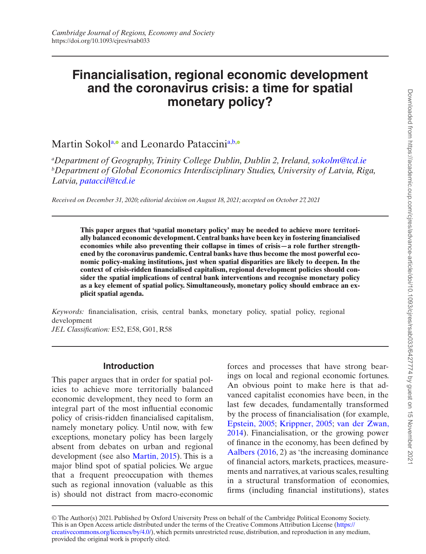# **Financialisation, regional economic development and the coronavirus crisis: a time for spatial monetary policy?**

## M[a](#page-0-0)rtin Sokol<sup>a,</sup> and Leonardo Pataccini<sup>a,[b](#page-0-1)[,](https://orcid.org/0000-0002-8436-1596)</sup>

<span id="page-0-1"></span><span id="page-0-0"></span>*a Department of Geography, Trinity College Dublin, Dublin 2, Ireland, [sokolm@tcd.ie](mailto:sokolm@tcd.ie?subject=) b Department of Global Economics Interdisciplinary Studies, University of Latvia, Riga, Latvia, [pataccil@tcd.ie](mailto:pataccil@tcd.ie?subject=)*

*Received on December 31, 2020; editorial decision on August 18, 2021; accepted on October 27, 2021*

**This paper argues that 'spatial monetary policy' may be needed to achieve more territorially balanced economic development. Central banks have been key in fostering financialised economies while also preventing their collapse in times of crisis—a role further strengthened by the coronavirus pandemic. Central banks have thus become the most powerful economic policy-making institutions, just when spatial disparities are likely to deepen. In the context of crisis-ridden financialised capitalism, regional development policies should consider the spatial implications of central bank interventions and recognise monetary policy as a key element of spatial policy. Simultaneously, monetary policy should embrace an explicit spatial agenda.**

*Keywords:* financialisation, crisis, central banks, monetary policy, spatial policy, regional development *JEL Classification:* E52, E58, G01, R58

## **Introduction**

This paper argues that in order for spatial policies to achieve more territorially balanced economic development, they need to form an integral part of the most influential economic policy of crisis-ridden financialised capitalism, namely monetary policy. Until now, with few exceptions, monetary policy has been largely absent from debates on urban and regional development (see also [Martin, 2015](#page-16-0)). This is a major blind spot of spatial policies. We argue that a frequent preoccupation with themes such as regional innovation (valuable as this is) should not distract from macro-economic forces and processes that have strong bearings on local and regional economic fortunes. An obvious point to make here is that advanced capitalist economies have been, in the last few decades, fundamentally transformed by the process of financialisation (for example, [Epstein, 2005;](#page-14-0) [Krippner, 2005](#page-15-0); [van der Zwan,](#page-17-0) [2014](#page-17-0)). Financialisation, or the growing power of finance in the economy, has been defined by [Aalbers \(2016](#page-13-0), 2) as 'the increasing dominance of financial actors, markets, practices, measurements and narratives, at various scales, resulting in a structural transformation of economies, firms (including financial institutions), states

This is an Open Access article distributed under the terms of the Creative Commons Attribution License ([https://](https://creativecommons.org/licenses/by/4.0/) [creativecommons.org/licenses/by/4.0/\)](https://creativecommons.org/licenses/by/4.0/), which permits unrestricted reuse, distribution, and reproduction in any medium, provided the original work is properly cited. © The Author(s) 2021. Published by Oxford University Press on behalf of the Cambridge Political Economy Society.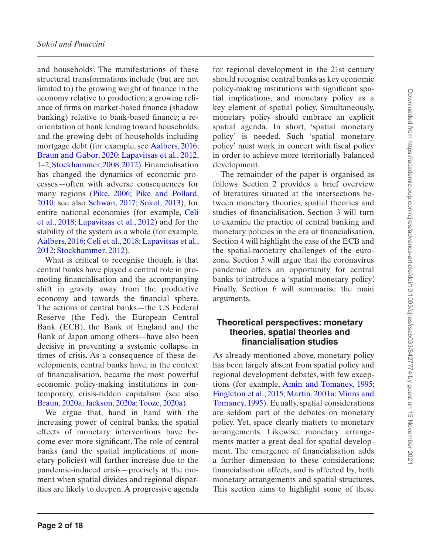and households'. The manifestations of these structural transformations include (but are not limited to) the growing weight of finance in the economy relative to production; a growing reliance of firms on market-based finance (shadow banking) relative to bank-based finance; a reorientation of bank lending toward households; and the growing debt of households including mortgage debt (for example, see [Aalbers, 2016;](#page-13-0) [Braun and Gabor, 2020](#page-14-1); [Lapavitsas et al., 2012,](#page-16-1) 1–2; [Stockhammer, 2008,](#page-17-1) [2012\)](#page-17-2). Financialisation has changed the dynamics of economic processes—often with adverse consequences for many regions ([Pike, 2006](#page-16-2); [Pike and Pollard,](#page-16-3)  [2010](#page-16-3); see also [Schwan, 2017;](#page-17-3) [Sokol, 2013](#page-17-4)), for entire national economies (for example, [Celi](#page-14-2)  [et al., 2018](#page-14-2); [Lapavitsas et al., 2012](#page-16-1)) and for the stability of the system as a whole (for example, [Aalbers, 2016](#page-13-0); [Celi et al., 2018;](#page-14-2) [Lapavitsas et al.,](#page-16-1)  [2012](#page-16-1); [Stockhammer, 2012](#page-17-2)).

What is critical to recognise though, is that central banks have played a central role in promoting financialisation and the accompanying shift in gravity away from the productive economy and towards the financial sphere. The actions of central banks—the US Federal Reserve (the Fed), the European Central Bank (ECB), the Bank of England and the Bank of Japan among others—have also been decisive in preventing a systemic collapse in times of crisis. As a consequence of these developments, central banks have, in the context of financialisation, became the most powerful economic policy-making institutions in contemporary, crisis-ridden capitalism (see also [Braun, 2020a](#page-14-3); [Jackson, 2020a;](#page-15-1) [Tooze, 2020a](#page-17-5)).

We argue that, hand in hand with the increasing power of central banks, the spatial effects of monetary interventions have become ever more significant. The role of central banks (and the spatial implications of monetary policies) will further increase due to the pandemic-induced crisis—precisely at the moment when spatial divides and regional disparities are likely to deepen. A progressive agenda for regional development in the 21st century should recognise central banks as key economic policy-making institutions with significant spatial implications, and monetary policy as a key element of spatial policy. Simultaneously, monetary policy should embrace an explicit spatial agenda. In short, 'spatial monetary policy' is needed. Such 'spatial monetary policy' must work in concert with fiscal policy in order to achieve more territorially balanced development.

The remainder of the paper is organised as follows. Section 2 provides a brief overview of literatures situated at the intersections between monetary theories, spatial theories and studies of financialisation. Section 3 will turn to examine the practice of central banking and monetary policies in the era of financialisation. Section 4 will highlight the case of the ECB and the spatial-monetary challenges of the eurozone. Section 5 will argue that the coronavirus pandemic offers an opportunity for central banks to introduce a 'spatial monetary policy'. Finally, Section 6 will summarise the main arguments.

## **Theoretical perspectives: monetary theories, spatial theories and financialisation studies**

As already mentioned above, monetary policy has been largely absent from spatial policy and regional development debates, with few exceptions (for example, [Amin and Tomaney, 1995;](#page-13-1) [Fingleton et al., 2015;](#page-14-4) [Martin, 2001a;](#page-16-4) [Minns and](#page-16-5)  [Tomaney, 1995](#page-16-5)). Equally, spatial considerations are seldom part of the debates on monetary policy. Yet, space clearly matters to monetary arrangements. Likewise, monetary arrangements matter a great deal for spatial development. The emergence of financialisation adds a further dimension to these considerations; financialisation affects, and is affected by, both monetary arrangements and spatial structures. This section aims to highlight some of these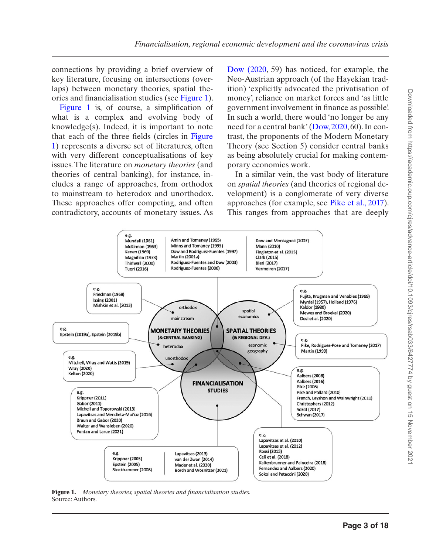connections by providing a brief overview of key literature, focusing on intersections (overlaps) between monetary theories, spatial theories and financialisation studies (see [Figure 1](#page-2-0)).

[Figure 1](#page-2-0) is, of course, a simplification of what is a complex and evolving body of knowledge(s). Indeed, it is important to note that each of the three fields (circles in [Figure](#page-2-0) [1](#page-2-0)) represents a diverse set of literatures, often with very different conceptualisations of key issues. The literature on *monetary theories* (and theories of central banking), for instance, includes a range of approaches, from orthodox to mainstream to heterodox and unorthodox. These approaches offer competing, and often contradictory, accounts of monetary issues. As [Dow \(2020](#page-14-5), 59) has noticed, for example, the Neo-Austrian approach (of the Hayekian tradition) 'explicitly advocated the privatisation of money', reliance on market forces and 'as little government involvement in finance as possible'. In such a world, there would 'no longer be any need for a central bank' ([Dow, 2020,](#page-14-5) 60). In contrast, the proponents of the Modern Monetary Theory (see Section 5) consider central banks as being absolutely crucial for making contemporary economies work.

In a similar vein, the vast body of literature on *spatial theories* (and theories of regional development) is a conglomerate of very diverse approaches (for example, see [Pike et al., 2017](#page-16-6)). This ranges from approaches that are deeply



<span id="page-2-0"></span>**Figure 1.** *Monetary theories, spatial theories and financialisation studies.* Source: Authors.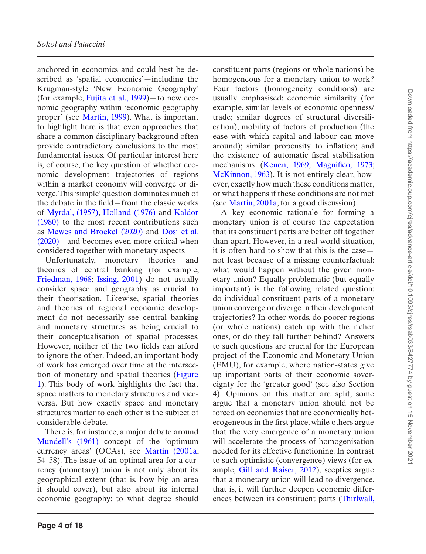anchored in economics and could best be described as 'spatial economics'—including the Krugman-style 'New Economic Geography' (for example, [Fujita et al., 1999](#page-15-2))—to new economic geography within 'economic geography proper' (see [Martin, 1999](#page-16-7)). What is important to highlight here is that even approaches that share a common disciplinary background often provide contradictory conclusions to the most fundamental issues. Of particular interest here is, of course, the key question of whether economic development trajectories of regions within a market economy will converge or diverge. This 'simple' question dominates much of the debate in the field—from the classic works of [Myrdal, \(1957\),](#page-16-8) [Holland \(1976\)](#page-15-3) and [Kaldor](#page-15-4)  [\(1980\)](#page-15-4) to the most recent contributions such as [Mewes and Broekel \(2020\)](#page-16-9) and [Dosi et al.](#page-14-6)  [\(2020\)—](#page-14-6)and becomes even more critical when considered together with monetary aspects.

Unfortunately, monetary theories and theories of central banking (for example, [Friedman, 1968](#page-15-5); [Issing, 2001\)](#page-15-6) do not usually consider space and geography as crucial to their theorisation. Likewise, spatial theories and theories of regional economic development do not necessarily see central banking and monetary structures as being crucial to their conceptualisation of spatial processes. However, neither of the two fields can afford to ignore the other. Indeed, an important body of work has emerged over time at the intersection of monetary and spatial theories ([Figure](#page-2-0)  [1\)](#page-2-0). This body of work highlights the fact that space matters to monetary structures and viceversa. But how exactly space and monetary structures matter to each other is the subject of considerable debate.

There is, for instance, a major debate around [Mundell's \(1961\)](#page-16-10) concept of the 'optimum currency areas' (OCAs), see [Martin \(2001a,](#page-16-4) 54–58). The issue of an optimal area for a currency (monetary) union is not only about its geographical extent (that is, how big an area it should cover), but also about its internal economic geography: to what degree should

constituent parts (regions or whole nations) be homogeneous for a monetary union to work? Four factors (homogeneity conditions) are usually emphasised: economic similarity (for example, similar levels of economic openness/ trade; similar degrees of structural diversification); mobility of factors of production (the ease with which capital and labour can move around); similar propensity to inflation; and the existence of automatic fiscal stabilisation mechanisms [\(Kenen, 1969;](#page-15-7) [Magnifico, 1973;](#page-16-11) [McKinnon, 1963](#page-16-12)). It is not entirely clear, however, exactly how much these conditions matter, or what happens if these conditions are not met (see [Martin, 2001a](#page-16-4), for a good discussion).

A key economic rationale for forming a monetary union is of course the expectation that its constituent parts are better off together than apart. However, in a real-world situation, it is often hard to show that this is the case not least because of a missing counterfactual: what would happen without the given monetary union? Equally problematic (but equally important) is the following related question: do individual constituent parts of a monetary union converge or diverge in their development trajectories? In other words, do poorer regions (or whole nations) catch up with the richer ones, or do they fall further behind? Answers to such questions are crucial for the European project of the Economic and Monetary Union (EMU), for example, where nation-states give up important parts of their economic sovereignty for the 'greater good' (see also Section 4). Opinions on this matter are split; some argue that a monetary union should not be forced on economies that are economically heterogeneous in the first place, while others argue that the very emergence of a monetary union will accelerate the process of homogenisation needed for its effective functioning. In contrast to such optimistic (convergence) views (for example, [Gill and Raiser, 2012\)](#page-15-8), sceptics argue that a monetary union will lead to divergence, that is, it will further deepen economic differences between its constituent parts ([Thirlwall,](#page-17-6)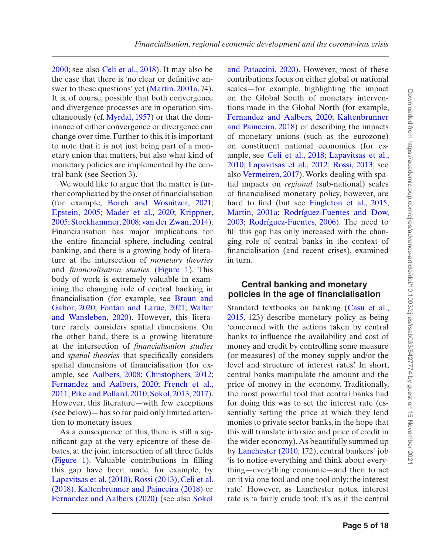[2000](#page-17-6); see also [Celi et al., 2018](#page-14-2)). It may also be the case that there is 'no clear or definitive answer to these questions' yet [\(Martin, 2001a](#page-16-4), 74). It is, of course, possible that both convergence and divergence processes are in operation simultaneously (cf. [Myrdal, 1957\)](#page-16-8) or that the dominance of either convergence or divergence can change over time. Further to this, it is important to note that it is not just being part of a monetary union that matters, but also what kind of monetary policies are implemented by the central bank (see Section 3).

We would like to argue that the matter is further complicated by the onset of financialisation (for example, [Borch and Wosnitzer, 2021](#page-14-7); [Epstein, 2005](#page-14-0); [Mader et al., 2020;](#page-16-13) [Krippner,](#page-15-0) [2005](#page-15-0); [Stockhammer, 2008;](#page-17-1) [van der Zwan, 2014](#page-17-0)). Financialisation has major implications for the entire financial sphere, including central banking, and there is a growing body of literature at the intersection of *monetary theories* and *financialisation studies* [\(Figure 1\)](#page-2-0). This body of work is extremely valuable in examining the changing role of central banking in financialisation (for example, see [Braun and](#page-14-1)  [Gabor, 2020](#page-14-1); [Fontan and Larue, 2021;](#page-14-8) [Walter](#page-17-7) [and Wansleben, 2020\)](#page-17-7). However, this literature rarely considers spatial dimensions. On the other hand, there is a growing literature at the intersection of *financialisation studies* and *spatial theories* that specifically considers spatial dimensions of financialisation (for example, see [Aalbers, 2008;](#page-13-2) [Christophers, 2012](#page-14-9); [Fernandez and Aalbers, 2020;](#page-14-10) [French et al.,](#page-15-9)  [2011](#page-15-9); [Pike and Pollard, 2010;](#page-16-3) [Sokol, 2013](#page-17-4), [2017](#page-17-8)). However, this literature—with few exceptions (see below)—has so far paid only limited attention to monetary issues.

As a consequence of this, there is still a significant gap at the very epicentre of these debates, at the joint intersection of all three fields ([Figure 1](#page-2-0)). Valuable contributions in filling this gap have been made, for example, by [Lapavitsas et al. \(2010\)](#page-16-14), [Rossi \(2013\),](#page-17-9) [Celi et al.](#page-14-2)  [\(2018\),](#page-14-2) [Kaltenbrunner and Painceira \(2018\)](#page-15-10) or [Fernandez and Aalbers \(2020\)](#page-14-10) (see also [Sokol](#page-17-10)  [and Pataccini, 2020\)](#page-17-10). However, most of these contributions focus on either global or national scales—for example, highlighting the impact on the Global South of monetary interventions made in the Global North (for example, [Fernandez and Aalbers, 2020;](#page-14-10) [Kaltenbrunner](#page-15-10) [and Painceira, 2018\)](#page-15-10) or describing the impacts of monetary unions (such as the eurozone) on constituent national economies (for example, see [Celi et al., 2018;](#page-14-2) [Lapavitsas et al.,](#page-16-14) [2010](#page-16-14); [Lapavitsas et al., 2012](#page-16-1); [Rossi, 2013;](#page-17-9) see also [Vermeiren, 2017](#page-17-11)). Works dealing with spatial impacts on *regional* (sub-national) scales of financialised monetary policy, however, are hard to find (but see Fingleton et al., 2015; [Martin, 2001a](#page-16-4); [Rodríguez-Fuentes and Dow,](#page-16-15)  [2003](#page-16-15); [Rodríguez-Fuentes, 2006\)](#page-16-16). The need to fill this gap has only increased with the changing role of central banks in the context of financialisation (and recent crises), examined in turn.

## **Central banking and monetary policies in the age of financialisation**

Standard textbooks on banking (Casu et al., [2015](#page-14-11), 123) describe monetary policy as being 'concerned with the actions taken by central banks to influence the availability and cost of money and credit by controlling some measure (or measures) of the money supply and/or the level and structure of interest rates'. In short, central banks manipulate the amount and the price of money in the economy. Traditionally, the most powerful tool that central banks had for doing this was to set the interest rate (essentially setting the price at which they lend monies to private sector banks, in the hope that this will translate into size and price of credit in the wider economy). As beautifully summed up by [Lanchester \(2010,](#page-15-11) 172), central bankers' job 'is to notice everything and think about everything—everything economic—and then to act on it via one tool and one tool only: the interest rate'. However, as Lanchester notes, interest rate is 'a fairly crude tool: it's as if the central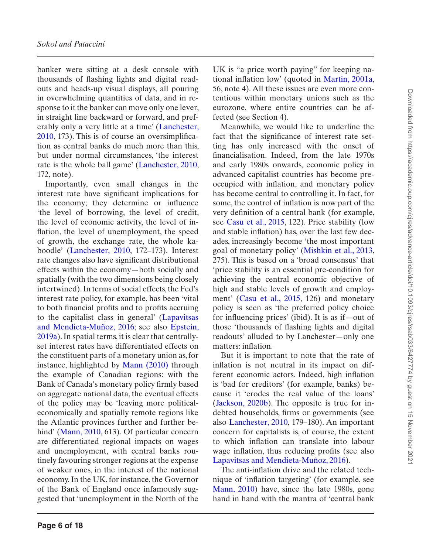banker were sitting at a desk console with thousands of flashing lights and digital readouts and heads-up visual displays, all pouring in overwhelming quantities of data, and in response to it the banker can move only one lever, in straight line backward or forward, and preferably only a very little at a time' ([Lanchester,](#page-15-11)  [2010](#page-15-11), 173). This is of course an oversimplification as central banks do much more than this, but under normal circumstances, 'the interest rate is the whole ball game' [\(Lanchester, 2010,](#page-15-11) 172, note).

Importantly, even small changes in the interest rate have significant implications for the economy; they determine or influence 'the level of borrowing, the level of credit, the level of economic activity, the level of inflation, the level of unemployment, the speed of growth, the exchange rate, the whole kaboodle' ([Lanchester, 2010,](#page-15-11) 172–173). Interest rate changes also have significant distributional effects within the economy—both socially and spatially (with the two dimensions being closely intertwined). In terms of social effects, the Fed's interest rate policy, for example, has been 'vital to both financial profits and to profits accruing to the capitalist class in general' ([Lapavitsas](#page-16-17)  [and Mendieta-Muñoz, 2016;](#page-16-17) see also [Epstein,](#page-14-12)  [2019a\)](#page-14-12). In spatial terms, it is clear that centrallyset interest rates have differentiated effects on the constituent parts of a monetary union as, for instance, highlighted by [Mann \(2010\)](#page-16-18) through the example of Canadian regions: with the Bank of Canada's monetary policy firmly based on aggregate national data, the eventual effects of the policy may be 'leaving more politicaleconomically and spatially remote regions like the Atlantic provinces further and further be-hind' ([Mann, 2010,](#page-16-18) 613). Of particular concern are differentiated regional impacts on wages and unemployment, with central banks routinely favouring stronger regions at the expense of weaker ones, in the interest of the national economy. In the UK, for instance, the Governor of the Bank of England once infamously suggested that 'unemployment in the North of the

UK is "a price worth paying" for keeping national inflation low' (quoted in [Martin, 2001a,](#page-16-4) 56, note 4). All these issues are even more contentious within monetary unions such as the eurozone, where entire countries can be affected (see Section 4).

Meanwhile, we would like to underline the fact that the significance of interest rate setting has only increased with the onset of financialisation. Indeed, from the late 1970s and early 1980s onwards, economic policy in advanced capitalist countries has become preoccupied with inflation, and monetary policy has become central to controlling it. In fact, for some, the control of inflation is now part of the very definition of a central bank (for example, see [Casu et al., 2015,](#page-14-11) 122). Price stability (low and stable inflation) has, over the last few decades, increasingly become 'the most important goal of monetary policy' [\(Mishkin et al., 2013,](#page-16-19) 275). This is based on a 'broad consensus' that 'price stability is an essential pre-condition for achieving the central economic objective of high and stable levels of growth and employment' (Casu et al., 2015, 126) and monetary policy is seen as 'the preferred policy choice for influencing prices' (ibid). It is as if—out of those 'thousands of flashing lights and digital readouts' alluded to by Lanchester—only one matters: inflation.

But it is important to note that the rate of inflation is not neutral in its impact on different economic actors. Indeed, high inflation is 'bad for creditors' (for example, banks) because it 'erodes the real value of the loans' ([Jackson, 2020b](#page-15-12)). The opposite is true for indebted households, firms or governments (see also [Lanchester, 2010](#page-15-11), 179–180). An important concern for capitalists is, of course, the extent to which inflation can translate into labour wage inflation, thus reducing profits (see also [Lapavitsas and Mendieta-Muñoz, 2016\)](#page-16-17).

The anti-inflation drive and the related technique of 'inflation targeting' (for example, see [Mann, 2010](#page-16-18)) have, since the late 1980s, gone hand in hand with the mantra of 'central bank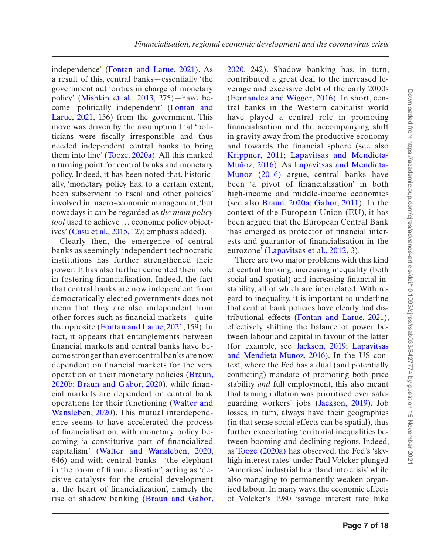independence' [\(Fontan and Larue, 2021](#page-14-8)). As a result of this, central banks—essentially 'the government authorities in charge of monetary policy' [\(Mishkin et al., 2013](#page-16-19), 275)—have become 'politically independent' ([Fontan and](#page-14-8) [Larue, 2021](#page-14-8), 156) from the government. This move was driven by the assumption that 'politicians were fiscally irresponsible and thus needed independent central banks to bring them into line' [\(Tooze, 2020a](#page-17-5)). All this marked a turning point for central banks and monetary policy. Indeed, it has been noted that, historically, 'monetary policy has, to a certain extent, been subservient to fiscal and other policies' involved in macro-economic management, 'but nowadays it can be regarded as *the main policy tool* used to achieve … economic policy objectives' [\(Casu et al., 2015](#page-14-11), 127; emphasis added).

Clearly then, the emergence of central banks as seemingly independent technocratic institutions has further strengthened their power. It has also further cemented their role in fostering financialisation. Indeed, the fact that central banks are now independent from democratically elected governments does not mean that they are also independent from other forces such as financial markets—quite the opposite ([Fontan and Larue, 2021,](#page-14-8) 159). In fact, it appears that entanglements between financial markets and central banks have become stronger than ever: central banks are now dependent on financial markets for the very operation of their monetary policies ([Braun,](#page-14-13) [2020b;](#page-14-13) [Braun and Gabor, 2020\)](#page-14-1), while financial markets are dependent on central bank operations for their functioning ([Walter and](#page-17-7) [Wansleben, 2020](#page-17-7)). This mutual interdependence seems to have accelerated the process of financialisation, with monetary policy becoming 'a constitutive part of financialized capitalism' ([Walter and Wansleben, 2020](#page-17-7), 646) and with central banks—'the elephant in the room of financialization', acting as 'decisive catalysts for the crucial development at the heart of financialization', namely the rise of shadow banking ([Braun and Gabor,](#page-14-1) [2020,](#page-14-1) 242). Shadow banking has, in turn, contributed a great deal to the increased leverage and excessive debt of the early 2000s ([Fernandez and Wigger, 2016\)](#page-14-14). In short, central banks in the Western capitalist world have played a central role in promoting financialisation and the accompanying shift in gravity away from the productive economy and towards the financial sphere (see also [Krippner, 2011](#page-15-13); [Lapavitsas and Mendieta-](#page-16-17)[Muñoz, 2016](#page-16-17)). As [Lapavitsas and Mendieta-](#page-16-17)[Muñoz \(2016\)](#page-16-17) argue, central banks have been 'a pivot of financialisation' in both high-income and middle-income economies (see also [Braun, 2020a;](#page-14-3) [Gabor, 2011](#page-15-14)). In the context of the European Union (EU), it has been argued that the European Central Bank 'has emerged as protector of financial interests and guarantor of financialisation in the eurozone' ([Lapavitsas et al., 2012,](#page-16-1) 3).

There are two major problems with this kind of central banking: increasing inequality (both social and spatial) and increasing financial instability, all of which are interrelated. With regard to inequality, it is important to underline that central bank policies have clearly had distributional effects [\(Fontan and Larue, 2021](#page-14-8)), effectively shifting the balance of power between labour and capital in favour of the latter (for example, see [Jackson, 2019](#page-15-15); [Lapavitsas](#page-16-17)  [and Mendieta-Muñoz, 2016\)](#page-16-17). In the US context, where the Fed has a dual (and potentially conflicting) mandate of promoting both price stability *and* full employment, this also meant that taming inflation was prioritised over safeguarding workers' jobs ([Jackson, 2019](#page-15-15)). Job losses, in turn, always have their geographies (in that sense social effects can be spatial), thus further exacerbating territorial inequalities between booming and declining regions. Indeed, as [Tooze \(2020a\)](#page-17-5) has observed, the Fed's 'skyhigh interest rates' under Paul Volcker plunged 'Americas' industrial heartland into crisis' while also managing to permanently weaken organised labour. In many ways, the economic effects of Volcker's 1980 'savage interest rate hike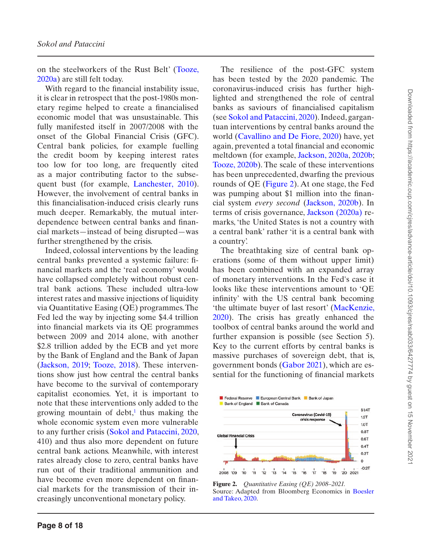on the steelworkers of the Rust Belt' ([Tooze,](#page-17-5)  [2020a\)](#page-17-5) are still felt today.

With regard to the financial instability issue, it is clear in retrospect that the post-1980s monetary regime helped to create a financialised economic model that was unsustainable. This fully manifested itself in 2007/2008 with the onset of the Global Financial Crisis (GFC). Central bank policies, for example fuelling the credit boom by keeping interest rates too low for too long, are frequently cited as a major contributing factor to the subsequent bust (for example, [Lanchester, 2010\)](#page-15-11). However, the involvement of central banks in this financialisation-induced crisis clearly runs much deeper. Remarkably, the mutual interdependence between central banks and financial markets—instead of being disrupted—was further strengthened by the crisis.

Indeed, colossal interventions by the leading central banks prevented a systemic failure: financial markets and the 'real economy' would have collapsed completely without robust central bank actions. These included ultra-low interest rates and massive injections of liquidity via Quantitative Easing (QE) programmes. The Fed led the way by injecting some \$4.4 trillion into financial markets via its QE programmes between 2009 and 2014 alone, with another \$2.8 trillion added by the ECB and yet more by the Bank of England and the Bank of Japan ([Jackson, 2019](#page-15-15); [Tooze, 2018\)](#page-17-12). These interventions show just how central the central banks have become to the survival of contemporary capitalist economies. Yet, it is important to note that these interventions only added to the growing mountain of debt, $\frac{1}{1}$  thus making the whole economic system even more vulnerable to any further crisis ([Sokol and Pataccini, 2020,](#page-17-10) 410) and thus also more dependent on future central bank actions. Meanwhile, with interest rates already close to zero, central banks have run out of their traditional ammunition and have become even more dependent on financial markets for the transmission of their increasingly unconventional monetary policy.

The resilience of the post-GFC system has been tested by the 2020 pandemic. The coronavirus-induced crisis has further highlighted and strengthened the role of central banks as saviours of financialised capitalism (see [Sokol and Pataccini, 2020\)](#page-17-10). Indeed, gargantuan interventions by central banks around the world [\(Cavallino and De Fiore, 2020\)](#page-14-15) have, yet again, prevented a total financial and economic meltdown (for example, [Jackson, 2020a](#page-15-1), [2020b;](#page-15-12) [Tooze, 2020b](#page-17-13)). The scale of these interventions has been unprecedented, dwarfing the previous rounds of QE [\(Figure 2\)](#page-7-0). At one stage, the Fed was pumping about \$1 million into the financial system *every second* ([Jackson, 2020b](#page-15-12)). In terms of crisis governance, [Jackson \(2020a\)](#page-15-1) remarks, 'the United States is not a country with a central bank' rather 'it is a central bank with a country'.

The breathtaking size of central bank operations (some of them without upper limit) has been combined with an expanded array of monetary interventions. In the Fed's case it looks like these interventions amount to 'QE infinity' with the US central bank becoming 'the ultimate buyer of last resort' ([MacKenzie,](#page-16-20)  [2020\)](#page-16-20). The crisis has greatly enhanced the toolbox of central banks around the world and further expansion is possible (see Section 5). Key to the current efforts by central banks is massive purchases of sovereign debt, that is, government bonds [\(Gabor 2021\)](#page-15-16), which are essential for the functioning of financial markets



<span id="page-7-0"></span>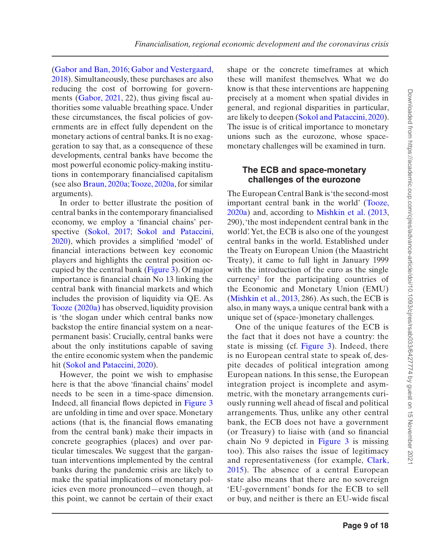([Gabor and Ban, 2016;](#page-15-17) [Gabor and Vestergaard,](#page-15-18)  [2018](#page-15-18)). Simultaneously, these purchases are also reducing the cost of borrowing for governments ([Gabor, 2021](#page-15-16), 22), thus giving fiscal authorities some valuable breathing space. Under these circumstances, the fiscal policies of governments are in effect fully dependent on the monetary actions of central banks. It is no exaggeration to say that, as a consequence of these developments, central banks have become the most powerful economic policy-making institutions in contemporary financialised capitalism (see also [Braun, 2020a;](#page-14-3) [Tooze, 2020a](#page-17-5), for similar arguments).

In order to better illustrate the position of central banks in the contemporary financialised economy, we employ a 'financial chains' per-spective ([Sokol, 2017](#page-17-8); [Sokol and Pataccini,](#page-17-10) [2020](#page-17-10)), which provides a simplified 'model' of financial interactions between key economic players and highlights the central position occupied by the central bank [\(Figure 3](#page-9-0)). Of major importance is financial chain No 13 linking the central bank with financial markets and which includes the provision of liquidity via QE. As [Tooze \(2020a\)](#page-17-5) has observed, liquidity provision is 'the slogan under which central banks now backstop the entire financial system on a nearpermanent basis'. Crucially, central banks were about the only institutions capable of saving the entire economic system when the pandemic hit [\(Sokol and Pataccini, 2020](#page-17-10)).

However, the point we wish to emphasise here is that the above 'financial chains' model needs to be seen in a time-space dimension. Indeed, all financial flows depicted in [Figure 3](#page-9-0) are unfolding in time and over space. Monetary actions (that is, the financial flows emanating from the central bank) make their impacts in concrete geographies (places) and over particular timescales. We suggest that the gargantuan interventions implemented by the central banks during the pandemic crisis are likely to make the spatial implications of monetary policies even more pronounced—even though, at this point, we cannot be certain of their exact shape or the concrete timeframes at which these will manifest themselves. What we do know is that these interventions are happening precisely at a moment when spatial divides in general, and regional disparities in particular, are likely to deepen ([Sokol and Pataccini, 2020](#page-17-10)). The issue is of critical importance to monetary unions such as the eurozone, whose spacemonetary challenges will be examined in turn.

## **The ECB and space-monetary challenges of the eurozone**

The European Central Bank is 'the second-most important central bank in the world' [\(Tooze,](#page-17-5)  [2020a](#page-17-5)) and, according to [Mishkin et al. \(2013](#page-16-19), 290), 'the most independent central bank in the world'. Yet, the ECB is also one of the youngest central banks in the world. Established under the Treaty on European Union (the Maastricht Treaty), it came to full light in January 1999 with the introduction of the euro as the single  $\text{currency}^2$  for the participating countries of the Economic and Monetary Union (EMU) ([Mishkin et al., 2013,](#page-16-19) 286). As such, the ECB is also, in many ways, a unique central bank with a unique set of (space-)monetary challenges.

One of the unique features of the ECB is the fact that it does not have a country: the state is missing (cf. [Figure 3](#page-9-0)). Indeed, there is no European central state to speak of, despite decades of political integration among European nations. In this sense, the European integration project is incomplete and asymmetric, with the monetary arrangements curiously running well ahead of fiscal and political arrangements. Thus, unlike any other central bank, the ECB does not have a government (or Treasury) to liaise with (and so financial chain No 9 depicted in [Figure 3](#page-9-0) is missing too). This also raises the issue of legitimacy and representativeness (for example, [Clark,](#page-14-17) [2015\)](#page-14-17). The absence of a central European state also means that there are no sovereign 'EU-government' bonds for the ECB to sell or buy, and neither is there an EU-wide fiscal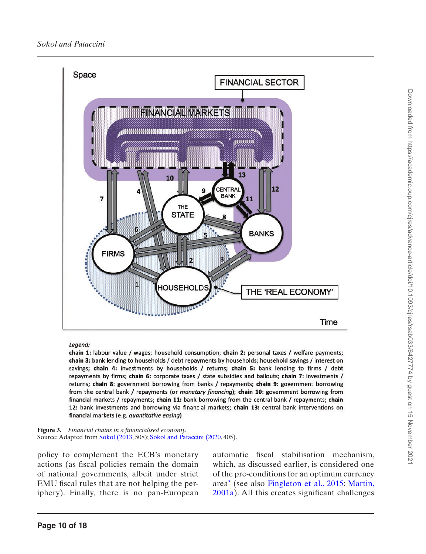

#### Legend:

chain 1: labour value / wages; household consumption; chain 2: personal taxes / welfare payments; chain 3: bank lending to households / debt repayments by households; household savings / interest on savings; chain 4: investments by households / returns; chain 5: bank lending to firms / debt repayments by firms; chain 6: corporate taxes / state subsidies and bailouts; chain 7: investments / returns; chain 8: government borrowing from banks / repayments; chain 9: government borrowing from the central bank / repayments (or monetary financing); chain 10: government borrowing from financial markets / repayments; chain 11: bank borrowing from the central bank / repayments; chain 12: bank investments and borrowing via financial markets; chain 13: central bank interventions on financial markets (e.g. quantitative easing)

<span id="page-9-0"></span>**Figure 3.** *Financial chains in a financialised economy.* Source: Adapted from [Sokol \(2013](#page-17-4), 508); [Sokol and Pataccini \(2020,](#page-17-10) 405).

policy to complement the ECB's monetary actions (as fiscal policies remain the domain of national governments, albeit under strict EMU fiscal rules that are not helping the periphery). Finally, there is no pan-European

automatic fiscal stabilisation mechanism, which, as discussed earlier, is considered one of the pre-conditions for an optimum currency area[3](#page-13-5) (see also [Fingleton et al., 2015](#page-14-4); [Martin,](#page-16-4)  [2001a](#page-16-4)). All this creates significant challenges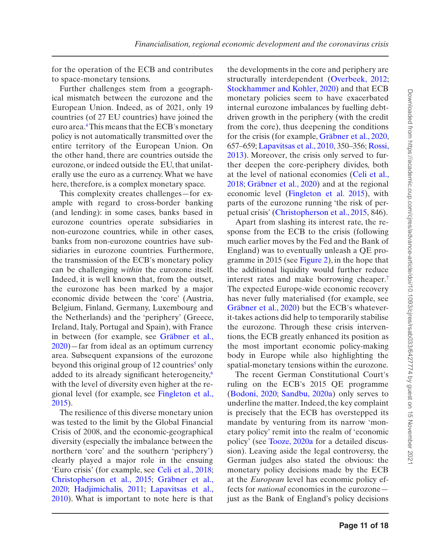for the operation of the ECB and contributes to space-monetary tensions.

Further challenges stem from a geographical mismatch between the eurozone and the European Union. Indeed, as of 2021, only 19 countries (of 27 EU countries) have joined the euro area.[4](#page-13-6) This means that the ECB's monetary policy is not automatically transmitted over the entire territory of the European Union. On the other hand, there are countries outside the eurozone, or indeed outside the EU, that unilaterally use the euro as a currency. What we have here, therefore, is a complex monetary space.

This complexity creates challenges—for example with regard to cross-border banking (and lending): in some cases, banks based in eurozone countries operate subsidiaries in non-eurozone countries, while in other cases, banks from non-eurozone countries have subsidiaries in eurozone countries. Furthermore, the transmission of the ECB's monetary policy can be challenging *within* the eurozone itself. Indeed, it is well known that, from the outset, the eurozone has been marked by a major economic divide between the 'core' (Austria, Belgium, Finland, Germany, Luxembourg and the Netherlands) and the 'periphery' (Greece, Ireland, Italy, Portugal and Spain), with France in between (for example, see [Gräbner et al.,](#page-15-19) [2020\)](#page-15-19)—far from ideal as an optimum currency area. Subsequent expansions of the eurozone beyond this original group of 12 countries<sup>[5](#page-13-7)</sup> only added to its already significant heterogeneity[,6](#page-13-8) with the level of diversity even higher at the regional level (for example, see [Fingleton et al.,](#page-14-4)  [2015](#page-14-4)).

The resilience of this diverse monetary union was tested to the limit by the Global Financial Crisis of 2008, and the economic-geographical diversity (especially the imbalance between the northern 'core' and the southern 'periphery') clearly played a major role in the ensuing 'Euro crisis' (for example, see [Celi et al., 2018](#page-14-2); [Christopherson et al., 2015;](#page-14-18) [Gräbner et al.,](#page-15-19) [2020](#page-15-19); [Hadjimichalis, 2011](#page-15-20); [Lapavitsas et al.,](#page-16-14)  [2010](#page-16-14)). What is important to note here is that the developments in the core and periphery are structurally interdependent [\(Overbeek, 2012](#page-16-21); [Stockhammer and Kohler, 2020](#page-17-14)) and that ECB monetary policies seem to have exacerbated internal eurozone imbalances by fuelling debtdriven growth in the periphery (with the credit from the core), thus deepening the conditions for the crisis (for example, [Gräbner et al., 2020](#page-15-19), 657–659; [Lapavitsas et al., 2010,](#page-16-14) 350–356; [Rossi,](#page-17-9)  [2013](#page-17-9)). Moreover, the crisis only served to further deepen the core-periphery divides, both at the level of national economies ([Celi et al.,](#page-14-2) [2018](#page-14-2); [Gräbner et al., 2020\)](#page-15-19) and at the regional economic level ([Fingleton et al. 2015\)](#page-14-4), with parts of the eurozone running 'the risk of perpetual crisis' [\(Christopherson et al., 2015,](#page-14-18) 846).

Apart from slashing its interest rate, the response from the ECB to the crisis (following much earlier moves by the Fed and the Bank of England) was to eventually unleash a QE programme in 2015 (see [Figure 2](#page-7-0)), in the hope that the additional liquidity would further reduce interest rates and make borrowing cheaper[.7](#page-13-9) The expected Europe-wide economic recovery has never fully materialised (for example, see [Gräbner et al., 2020](#page-15-19)) but the ECB's whateverit-takes actions did help to temporarily stabilise the eurozone. Through these crisis interventions, the ECB greatly enhanced its position as the most important economic policy-making body in Europe while also highlighting the spatial-monetary tensions within the eurozone.

The recent German Constitutional Court's ruling on the ECB's 2015 QE programme ([Bodoni, 2020](#page-14-19); [Sandbu, 2020a](#page-17-15)) only serves to underline the matter. Indeed, the key complaint is precisely that the ECB has overstepped its mandate by venturing from its narrow 'monetary policy' remit into the realm of 'economic policy' (see [Tooze, 2020a](#page-17-5) for a detailed discussion). Leaving aside the legal controversy, the German judges also stated the obvious: the monetary policy decisions made by the ECB at the *European* level has economic policy effects for *national* economies in the eurozone just as the Bank of England's policy decisions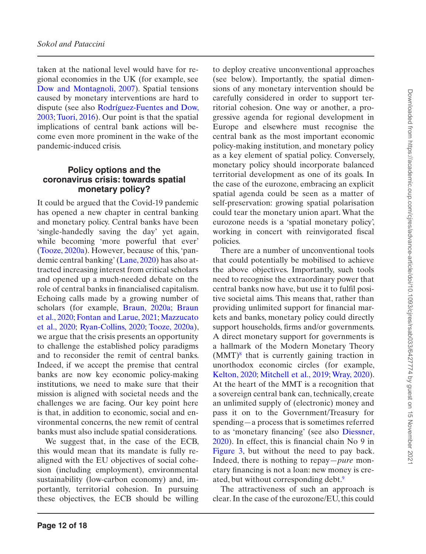taken at the national level would have for regional economies in the UK (for example, see [Dow and Montagnoli, 2007\)](#page-14-20). Spatial tensions caused by monetary interventions are hard to dispute (see also [Rodríguez-Fuentes and Dow,](#page-16-15)  [2003](#page-16-15); [Tuori, 2016\)](#page-17-16). Our point is that the spatial implications of central bank actions will become even more prominent in the wake of the pandemic-induced crisis.

## **Policy options and the coronavirus crisis: towards spatial monetary policy?**

It could be argued that the Covid-19 pandemic has opened a new chapter in central banking and monetary policy. Central banks have been 'single-handedly saving the day' yet again, while becoming 'more powerful that ever' ([Tooze, 2020a](#page-17-5)). However, because of this, 'pandemic central banking' [\(Lane, 2020](#page-15-21)) has also attracted increasing interest from critical scholars and opened up a much-needed debate on the role of central banks in financialised capitalism. Echoing calls made by a growing number of scholars (for example, [Braun, 2020a;](#page-14-3) [Braun](#page-14-21)  [et al., 2020](#page-14-21); [Fontan and Larue, 2021](#page-14-8); [Mazzucato](#page-16-22)  [et al., 2020;](#page-16-22) [Ryan-Collins, 2020](#page-17-17); [Tooze, 2020a\)](#page-17-5), we argue that the crisis presents an opportunity to challenge the established policy paradigms and to reconsider the remit of central banks. Indeed, if we accept the premise that central banks are now key economic policy-making institutions, we need to make sure that their mission is aligned with societal needs and the challenges we are facing. Our key point here is that, in addition to economic, social and environmental concerns, the new remit of central banks must also include spatial considerations.

We suggest that, in the case of the ECB, this would mean that its mandate is fully realigned with the EU objectives of social cohesion (including employment), environmental sustainability (low-carbon economy) and, importantly, territorial cohesion. In pursuing these objectives, the ECB should be willing to deploy creative unconventional approaches (see below). Importantly, the spatial dimensions of any monetary intervention should be carefully considered in order to support territorial cohesion. One way or another, a progressive agenda for regional development in Europe and elsewhere must recognise the central bank as the most important economic policy-making institution, and monetary policy as a key element of spatial policy. Conversely, monetary policy should incorporate balanced territorial development as one of its goals. In the case of the eurozone, embracing an explicit spatial agenda could be seen as a matter of self-preservation: growing spatial polarisation could tear the monetary union apart. What the eurozone needs is a 'spatial monetary policy', working in concert with reinvigorated fiscal policies.

There are a number of unconventional tools that could potentially be mobilised to achieve the above objectives. Importantly, such tools need to recognise the extraordinary power that central banks now have, but use it to fulfil positive societal aims. This means that, rather than providing unlimited support for financial markets and banks, monetary policy could directly support households, firms and/or governments. A direct monetary support for governments is a hallmark of the Modern Monetary Theory  $(MMT)<sup>8</sup>$  that is currently gaining traction in unorthodox economic circles (for example, [Kelton, 2020;](#page-15-22) [Mitchell et al., 2019;](#page-16-23) [Wray, 2020\)](#page-17-18). At the heart of the MMT is a recognition that a sovereign central bank can, technically, create an unlimited supply of (electronic) money and pass it on to the Government/Treasury for spending—a process that is sometimes referred to as 'monetary financing' (see also [Diessner,](#page-14-22)  [2020\)](#page-14-22). In effect, this is financial chain No 9 in [Figure 3](#page-9-0), but without the need to pay back. Indeed, there is nothing to repay—*pure* monetary financing is not a loan: new money is created, but without corresponding debt[.9](#page-13-11)

The attractiveness of such an approach is clear. In the case of the eurozone/EU, this could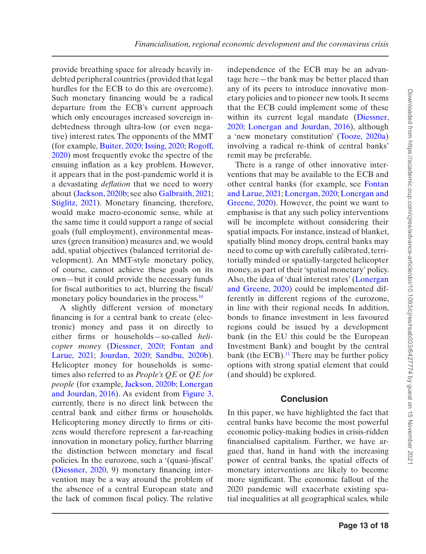provide breathing space for already heavily indebted peripheral countries (provided that legal hurdles for the ECB to do this are overcome). Such monetary financing would be a radical departure from the ECB's current approach which only encourages increased sovereign indebtedness through ultra-low (or even negative) interest rates. The opponents of the MMT (for example, [Buiter, 2020;](#page-14-23) [Issing, 2020;](#page-15-23) [Rogoff,](#page-17-19) [2020\)](#page-17-19) most frequently evoke the spectre of the ensuing inflation as a key problem. However, it appears that in the post-pandemic world it is a devastating *deflation* that we need to worry about [\(Jackson, 2020b;](#page-15-12) see also [Galbraith, 2021](#page-15-24); [Stiglitz, 2021\)](#page-17-20). Monetary financing, therefore, would make macro-economic sense, while at the same time it could support a range of social goals (full employment), environmental measures (green transition) measures and, we would add, spatial objectives (balanced territorial development). An MMT-style monetary policy, of course, cannot achieve these goals on its own—but it could provide the necessary funds for fiscal authorities to act, blurring the fiscal/ monetary policy boundaries in the process.<sup>[10](#page-13-12)</sup>

A slightly different version of monetary financing is for a central bank to create (electronic) money and pass it on directly to either firms or households—so-called *helicopter money* [\(Diessner, 2020](#page-14-22); [Fontan and](#page-14-8) [Larue, 2021](#page-14-8); [Jourdan, 2020](#page-15-25); [Sandbu, 2020b](#page-17-21)). Helicopter money for households is sometimes also referred to as *People's QE* or *QE for people* (for example, [Jackson, 2020b](#page-15-12); [Lonergan](#page-16-24) [and Jourdan, 2016](#page-16-24)). As evident from [Figure 3](#page-9-0), currently, there is no direct link between the central bank and either firms or households. Helicoptering money directly to firms or citizens would therefore represent a far-reaching innovation in monetary policy, further blurring the distinction between monetary and fiscal policies. In the eurozone, such a '(quasi-)fiscal' ([Diessner, 2020,](#page-14-22) 9) monetary financing intervention may be a way around the problem of the absence of a central European state and the lack of common fiscal policy. The relative

independence of the ECB may be an advantage here—the bank may be better placed than any of its peers to introduce innovative monetary policies and to pioneer new tools. It seems that the ECB could implement some of these within its current legal mandate (Diessner, [2020](#page-14-22); [Lonergan and Jourdan, 2016](#page-16-24)), although a 'new monetary constitution' ([Tooze, 2020a](#page-17-5)) involving a radical re-think of central banks' remit may be preferable.

There is a range of other innovative interventions that may be available to the ECB and other central banks (for example, see [Fontan](#page-14-8)  [and Larue, 2021;](#page-14-8) [Lonergan, 2020](#page-16-25); [Lonergan and](#page-16-26) [Greene, 2020](#page-16-26)). However, the point we want to emphasise is that any such policy interventions will be incomplete without considering their spatial impacts. For instance, instead of blanket, spatially blind money drops, central banks may need to come up with carefully calibrated, territorially minded or spatially-targeted helicopter money, as part of their 'spatial monetary' policy. Also, the idea of 'dual interest rates' ([Lonergan](#page-16-26)  [and Greene, 2020\)](#page-16-26) could be implemented differently in different regions of the eurozone, in line with their regional needs. In addition, bonds to finance investment in less favoured regions could be issued by a development bank (in the EU this could be the European Investment Bank) and bought by the central bank (the ECB). $<sup>11</sup>$  There may be further policy</sup> options with strong spatial element that could (and should) be explored.

### **Conclusion**

In this paper, we have highlighted the fact that central banks have become the most powerful economic policy-making bodies in crisis-ridden financialised capitalism. Further, we have argued that, hand in hand with the increasing power of central banks, the spatial effects of monetary interventions are likely to become more significant. The economic fallout of the 2020 pandemic will exacerbate existing spatial inequalities at all geographical scales, while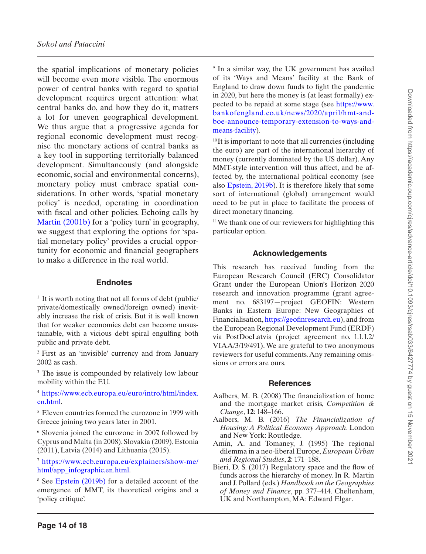the spatial implications of monetary policies will become even more visible. The enormous power of central banks with regard to spatial development requires urgent attention: what central banks do, and how they do it, matters a lot for uneven geographical development. We thus argue that a progressive agenda for regional economic development must recognise the monetary actions of central banks as a key tool in supporting territorially balanced development. Simultaneously (and alongside economic, social and environmental concerns), monetary policy must embrace spatial considerations. In other words, 'spatial monetary policy' is needed, operating in coordination with fiscal and other policies. Echoing calls by [Martin \(2001b\)](#page-16-27) for a 'policy turn' in geography, we suggest that exploring the options for 'spatial monetary policy' provides a crucial opportunity for economic and financial geographers to make a difference in the real world.

### **Endnotes**

<span id="page-13-3"></span> $<sup>1</sup>$  It is worth noting that not all forms of debt (public)</sup> private/domestically owned/foreign owned) inevitably increase the risk of crisis. But it is well known that for weaker economies debt can become unsustainable, with a vicious debt spiral engulfing both public and private debt.

<span id="page-13-4"></span><sup>2</sup> First as an 'invisible' currency and from January 2002 as cash.

<span id="page-13-5"></span><sup>3</sup> The issue is compounded by relatively low labour mobility within the EU.

<span id="page-13-6"></span><sup>4</sup> [https://www.ecb.europa.eu/euro/intro/html/index.](https://www.ecb.europa.eu/euro/intro/html/index.en.html) [en.html.](https://www.ecb.europa.eu/euro/intro/html/index.en.html)

<span id="page-13-7"></span><sup>5</sup> Eleven countries formed the eurozone in 1999 with Greece joining two years later in 2001.

<span id="page-13-8"></span><sup>6</sup> Slovenia joined the eurozone in 2007, followed by Cyprus and Malta (in 2008), Slovakia (2009), Estonia (2011), Latvia (2014) and Lithuania (2015).

<span id="page-13-9"></span><sup>7</sup> [https://www.ecb.europa.eu/explainers/show-me/](https://www.ecb.europa.eu/explainers/show-me/html/app_infographic.en.html) [html/app\\_infographic.en.html](https://www.ecb.europa.eu/explainers/show-me/html/app_infographic.en.html).

<span id="page-13-10"></span><sup>8</sup> See [Epstein \(2019b\)](#page-14-24) for a detailed account of the emergence of MMT, its theoretical origins and a 'policy critique'.

<span id="page-13-11"></span><sup>9</sup> In a similar way, the UK government has availed of its 'Ways and Means' facility at the Bank of England to draw down funds to fight the pandemic in 2020, but here the money is (at least formally) expected to be repaid at some stage (see [https://www.](https://www.bankofengland.co.uk/news/2020/april/hmt-and-boe-announce-temporary-extension-to-ways-and-means-facility) [bankofengland.co.uk/news/2020/april/hmt-and](https://www.bankofengland.co.uk/news/2020/april/hmt-and-boe-announce-temporary-extension-to-ways-and-means-facility)[boe-announce-temporary-extension-to-ways-and](https://www.bankofengland.co.uk/news/2020/april/hmt-and-boe-announce-temporary-extension-to-ways-and-means-facility)[means-facility](https://www.bankofengland.co.uk/news/2020/april/hmt-and-boe-announce-temporary-extension-to-ways-and-means-facility)).

<span id="page-13-12"></span><sup>10</sup>It is important to note that all currencies (including the euro) are part of the international hierarchy of money (currently dominated by the US dollar). Any MMT-style intervention will thus affect, and be affected by, the international political economy (see also [Epstein, 2019b](#page-14-24)). It is therefore likely that some sort of international (global) arrangement would need to be put in place to facilitate the process of direct monetary financing.

<span id="page-13-13"></span>11We thank one of our reviewers for highlighting this particular option.

## **Acknowledgements**

This research has received funding from the European Research Council (ERC) Consolidator Grant under the European Union's Horizon 2020 research and innovation programme (grant agreement no. 683197—project GEOFIN: Western Banks in Eastern Europe: New Geographies of Financialisation,<https://geofinresearch.eu>), and from the European Regional Development Fund (ERDF) via PostDocLatvia (project agreement no. 1.1.1.2/ VIAA/3/19/491). We are grateful to two anonymous reviewers for useful comments. Any remaining omissions or errors are ours.

#### **References**

- <span id="page-13-2"></span>Aalbers, M. B. (2008) The financialization of home and the mortgage market crisis, *Competition & Change*, **12**: 148–166.
- <span id="page-13-0"></span>Aalbers, M. B. (2016) *The Financialization of Housing: A Political Economy Approach*. London and New York: Routledge.
- <span id="page-13-1"></span>Amin, A. and Tomaney, J. (1995) The regional dilemma in a neo-liberal Europe, *European Urban and Regional Studies*, **2**: 171–188.
- Bieri, D. S. (2017) Regulatory space and the flow of funds across the hierarchy of money. In R. Martin and J. Pollard (eds.) *Handbook on the Geographies of Money and Finance*, pp. 377–414. Cheltenham, UK and Northampton, MA: Edward Elgar.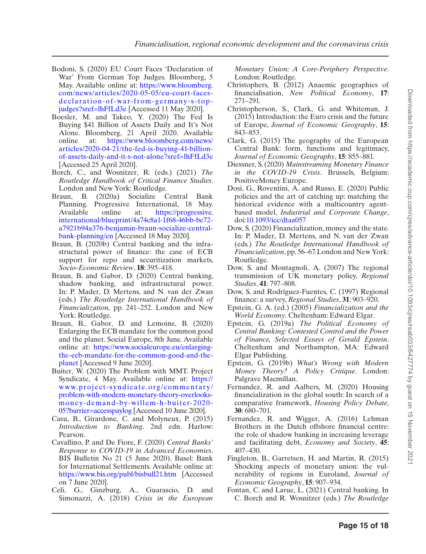- <span id="page-14-19"></span>Bodoni, S. (2020) EU Court Faces 'Declaration of War' From German Top Judges. Bloomberg, 5 May. Available online at: [https://www.bloomberg.](https://www.bloomberg.com/news/articles/2020-05-05/eu-court-faces-declaration-of-war-from-germany-s-top-judges?sref=lhFfLd3e) [com/news/articles/2020-05-05/eu-court-faces](https://www.bloomberg.com/news/articles/2020-05-05/eu-court-faces-declaration-of-war-from-germany-s-top-judges?sref=lhFfLd3e)[declaration-of-war-from-germany-s-top](https://www.bloomberg.com/news/articles/2020-05-05/eu-court-faces-declaration-of-war-from-germany-s-top-judges?sref=lhFfLd3e)[judges?sref=lhFfLd3e](https://www.bloomberg.com/news/articles/2020-05-05/eu-court-faces-declaration-of-war-from-germany-s-top-judges?sref=lhFfLd3e) [Accessed 11 May 2020].
- <span id="page-14-16"></span>Boesler, M. and Takeo, Y. (2020) The Fed Is Buying \$41 Billion of Assets Daily and It's Not Alone. Bloomberg, 21 April 2020. Available<br>online at: https://www.bloomberg.com/news/ [https://www.bloomberg.com/news/](https://www.bloomberg.com/news/articles/2020-04-21/the-fed-is-buying-41-billion-of-assets-daily-and-it-s-not-alone?sref=lhFfLd3e) [articles/2020-04-21/the-fed-is-buying-41-billion](https://www.bloomberg.com/news/articles/2020-04-21/the-fed-is-buying-41-billion-of-assets-daily-and-it-s-not-alone?sref=lhFfLd3e)[of-assets-daily-and-it-s-not-alone?sref=lhFfLd3e](https://www.bloomberg.com/news/articles/2020-04-21/the-fed-is-buying-41-billion-of-assets-daily-and-it-s-not-alone?sref=lhFfLd3e) [Accessed 25 April 2020].
- <span id="page-14-7"></span>Borch, C., and Wosnitzer, R. (eds.) (2021) *The Routledge Handbook of Critical Finance Studies*. London and New York: Routledge.
- <span id="page-14-3"></span>Braun, B. (2020a) Socialize Central Bank Planning. Progressive International, 18 May.<br>Available online at: https://progressive. [https://progressive.](https://progressive.international/blueprint/4a74c8a1-1f68-46bb-bc72-a7921b94a376-benjamin-braun-socialize-central-bank-planning/en) [international/blueprint/4a74c8a1-1f68-46bb-bc72](https://progressive.international/blueprint/4a74c8a1-1f68-46bb-bc72-a7921b94a376-benjamin-braun-socialize-central-bank-planning/en) [a7921b94a376-benjamin-braun-socialize-central](https://progressive.international/blueprint/4a74c8a1-1f68-46bb-bc72-a7921b94a376-benjamin-braun-socialize-central-bank-planning/en)[bank-planning/en](https://progressive.international/blueprint/4a74c8a1-1f68-46bb-bc72-a7921b94a376-benjamin-braun-socialize-central-bank-planning/en) [Accessed 18 May 2020].
- <span id="page-14-13"></span>Braun, B. (2020b) Central banking and the infrastructural power of finance: the case of ECB support for repo and securitization markets, *Socio-Economic Review*, **18**: 395–418.
- <span id="page-14-1"></span>Braun, B. and Gabor, D. (2020) Central banking, shadow banking, and infrastructural power. In: P. Mader, D. Mertens, and N. van der Zwan (eds.) *The Routledge International Handbook of Financialization,* pp. 241–252. London and New York: Routledge.
- <span id="page-14-21"></span>Braun, B., Gabor, D. and Lemoine, B. (2020) Enlarging the ECB mandate for the common good and the planet. Social Europe, 8th June. Available online at: [https://www.socialeurope.eu/enlarging](https://www.socialeurope.eu/enlarging-the-ecb-mandate-for-the-common-good-and-the-planet)[the-ecb-mandate-for-the-common-good-and-the](https://www.socialeurope.eu/enlarging-the-ecb-mandate-for-the-common-good-and-the-planet)[planet](https://www.socialeurope.eu/enlarging-the-ecb-mandate-for-the-common-good-and-the-planet) [Accessed 9 June 2020].
- <span id="page-14-23"></span>Buiter, W. (2020) The Problem with MMT. Project Syndicate, 4 May. Available online at: [https://](https://www.project-syndicate.org/commentary/problem-with-modern-monetary-theory-overlooks-money-demand-by-willem-h-buiter-2020-05?barrier=accesspaylog) [www.project-syndicate.org/commentary/](https://www.project-syndicate.org/commentary/problem-with-modern-monetary-theory-overlooks-money-demand-by-willem-h-buiter-2020-05?barrier=accesspaylog) [problem-with-modern-monetary-theory-overlooks](https://www.project-syndicate.org/commentary/problem-with-modern-monetary-theory-overlooks-money-demand-by-willem-h-buiter-2020-05?barrier=accesspaylog)[money-demand-by-willem-h-buiter-2020-](https://www.project-syndicate.org/commentary/problem-with-modern-monetary-theory-overlooks-money-demand-by-willem-h-buiter-2020-05?barrier=accesspaylog) [05?barrier=accesspaylog](https://www.project-syndicate.org/commentary/problem-with-modern-monetary-theory-overlooks-money-demand-by-willem-h-buiter-2020-05?barrier=accesspaylog) [Accessed 10 June 2020].
- <span id="page-14-11"></span>Casu, B., Girardone, C. and Molyneux, P. (2015) *Introduction to Banking*. 2nd edn. Harlow: Pearson.
- <span id="page-14-15"></span>Cavallino, P. and De Fiore, F. (2020) *Central Banks' Response to COVID-19 in Advanced Economies*. BIS Bulletin No 21 (5 June 2020). Basel: Bank for International Settlements. Available online at: <https://www.bis.org/publ/bisbull21.htm>[Accessed on 7 June 2020].
- <span id="page-14-2"></span>Celi, G., Ginzburg, A., Guarascio, D. and Simonazzi, A. (2018) *Crisis in the European*

*Monetary Union: A Core-Periphery Perspective*. London: Routledge.

- <span id="page-14-9"></span>Christophers, B. (2012) Anaemic geographies of financialisation, *New Political Economy*, **17**: 271–291.
- <span id="page-14-18"></span>Christopherson, S., Clark, G. and Whiteman, J.  $(2015)$  Introduction: the Euro crisis and the future of Europe, *Journal of Economic Geography*, **15**: 843–853.
- <span id="page-14-17"></span>Clark, G. (2015) The geography of the European Central Bank: form, functions and legitimacy, *Journal of Economic Geography*, **15**: 855–881.
- <span id="page-14-22"></span>Diessner, S. (2020) *Mainstreaming Monetary Finance in the COVID-19 Crisis*. Brussels, Belgium: PositiveMoney Europe.
- <span id="page-14-6"></span>Dosi, G., Roventini, A. and Russo, E. (2020) Public policies and the art of catching up: matching the historical evidence with a multicountry agentbased model, *Industrial and Corporate Change*, doi:[10.1093/icc/dtaa057](https://doi.org/10.1093/icc/dtaa057)
- <span id="page-14-5"></span>Dow, S. (2020) Financialization, money and the state. In: P. Mader, D. Mertens, and N. van der Zwan (eds.) *The Routledge International Handbook of Financialization*, pp. 56–67. London and New York: Routledge.
- <span id="page-14-20"></span>Dow, S. and Montagnoli, A. (2007) The regional transmission of UK monetary policy, *Regional Studies*, **41**: 797–808.
- Dow, S. and Rodríguez-Fuentes, C. (1997) Regional finance: a survey, *Regional Studies*, **31**: 903–920.
- <span id="page-14-0"></span>Epstein, G. A. (ed.) (2005) *Financialization and the World Economy*. Cheltenham: Edward Elgar.
- <span id="page-14-12"></span>Epstein, G. (2019a) *The Political Economy of Central Banking: Contested Control and the Power of Finance, Selected Essays of Gerald Epstein*. Cheltenham and Northampton, MA: Edward Elgar Publishing.
- <span id="page-14-24"></span>Epstein, G. (2019b) *What's Wrong with Modern Money Theory? A Policy Critique*. London: Palgrave Macmillan.
- <span id="page-14-10"></span>Fernandez, R. and Aalbers, M. (2020) Housing financialization in the global south: In search of a comparative framework, *Housing Policy Debate*, **30**: 680–701.
- <span id="page-14-14"></span>Fernandez, R. and Wigger, A. (2016) Lehman Brothers in the Dutch offshore financial centre: the role of shadow banking in increasing leverage and facilitating debt, *Economy and Society*, **45**: 407–430.
- <span id="page-14-4"></span>Fingleton, B., Garretsen, H. and Martin, R. (2015) Shocking aspects of monetary union: the vulnerability of regions in Euroland, *Journal of Economic Geography*, **15**: 907–934.
- <span id="page-14-8"></span>Fontan, C. and Larue, L. (2021) Central banking. In C. Borch and R. Wosnitzer (eds.) *The Routledge*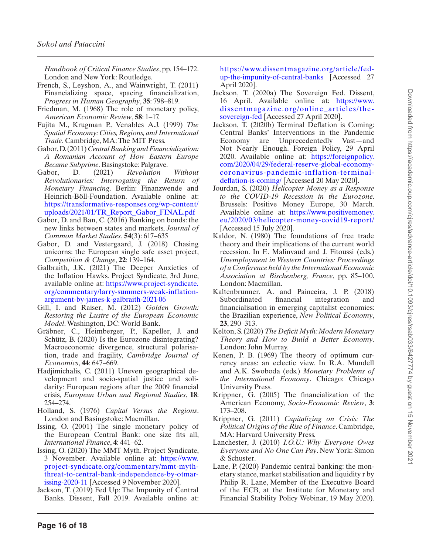*Handbook of Critical Finance Studies*, pp. 154–172. London and New York: Routledge.

- <span id="page-15-9"></span>French, S., Leyshon, A., and Wainwright, T. (2011) Financializing space, spacing financialization, *Progress in Human Geography*, **35**: 798–819.
- <span id="page-15-5"></span>Friedman, M. (1968) The role of monetary policy, *American Economic Review*, **58**: 1–17.
- <span id="page-15-2"></span>Fujita M., Krugman P., Venables A.J. (1999) *The Spatial Economy: Cities, Regions, and International Trade*. Cambridge, MA: The MIT Press.
- <span id="page-15-14"></span>Gabor, D. (2011) *Central Banking and Financialization: A Romanian Account of How Eastern Europe Became Subprime*. Basingstoke: Palgrave.
- <span id="page-15-16"></span>Gabor, D. (2021) *Revolution Without Revolutionaries: Interrogating the Return of Monetary Financing*. Berlin: Finanzwende and Heinrich-Böll-Foundation. Available online at: [https://transformative-responses.org/wp-content/](https://transformative-responses.org/wp-content/uploads/2021/01/TR_Report_Gabor_FINAL.pdf) [uploads/2021/01/TR\\_Report\\_Gabor\\_FINAL.pdf](https://transformative-responses.org/wp-content/uploads/2021/01/TR_Report_Gabor_FINAL.pdf)
- <span id="page-15-17"></span>Gabor, D. and Ban, C. (2016) Banking on bonds: the new links between states and markets, *Journal of Common Market Studies*, **54**(3): 617–635
- <span id="page-15-18"></span>Gabor, D. and Vestergaard, J. (2018) Chasing unicorns: the European single safe asset project, *Competition & Change*, **22**: 139–164.
- <span id="page-15-24"></span>Galbraith, J.K. (2021) The Deeper Anxieties of the Inflation Hawks. Project Syndicate, 3rd June, available online at: [https://www.project-syndicate.](https://www.project-syndicate.org/commentary/larry-summers-weak-inflation-argument-by-james-k-galbraith-2021-06) [org/commentary/larry-summers-weak-inflation](https://www.project-syndicate.org/commentary/larry-summers-weak-inflation-argument-by-james-k-galbraith-2021-06)[argument-by-james-k-galbraith-2021-06](https://www.project-syndicate.org/commentary/larry-summers-weak-inflation-argument-by-james-k-galbraith-2021-06)
- <span id="page-15-8"></span>Gill, I. and Raiser, M. (2012) *Golden Growth: Restoring the Lustre of the European Economic Model*. Washington, DC: World Bank.
- <span id="page-15-19"></span>Gräbner, C., Heimberger, P., Kapeller, J. and Schütz, B. (2020) Is the Eurozone disintegrating? Macroeconomic divergence, structural polarisation, trade and fragility, *Cambridge Journal of Economics*, **44**: 647–669.
- <span id="page-15-20"></span>Hadjimichalis, C. (2011) Uneven geographical development and socio-spatial justice and solidarity: European regions after the 2009 financial crisis, *European Urban and Regional Studies*, **18**: 254–274.
- <span id="page-15-3"></span>Holland, S. (1976) *Capital Versus the Regions*. London and Basingstoke: Macmillan.
- <span id="page-15-6"></span>Issing, O. (2001) The single monetary policy of the European Central Bank: one size fits all, *International Finance*, **4**: 441–62.
- <span id="page-15-23"></span>Issing, O. (2020) The MMT Myth. Project Syndicate, 3 November. Available online at: [https://www.](https://www.project-syndicate.org/commentary/mmt-myth-threat-to-central-bank-independence-by-otmar-issing-2020-11) [project-syndicate.org/commentary/mmt-myth](https://www.project-syndicate.org/commentary/mmt-myth-threat-to-central-bank-independence-by-otmar-issing-2020-11)[threat-to-central-bank-independence-by-otmar](https://www.project-syndicate.org/commentary/mmt-myth-threat-to-central-bank-independence-by-otmar-issing-2020-11)[issing-2020-11](https://www.project-syndicate.org/commentary/mmt-myth-threat-to-central-bank-independence-by-otmar-issing-2020-11) [Accessed 9 November 2020].
- <span id="page-15-15"></span>Jackson, T. (2019) Fed Up: The Impunity of Central Banks. Dissent, Fall 2019. Available online at:

[https://www.dissentmagazine.org/article/fed](https://www.dissentmagazine.org/article/fed-up-the-impunity-of-central-banks)[up-the-impunity-of-central-banks](https://www.dissentmagazine.org/article/fed-up-the-impunity-of-central-banks) [Accessed 27 April 2020].

- <span id="page-15-1"></span>Jackson, T. (2020a) The Sovereign Fed. Dissent, 16 April. Available online at: [https://www.](https://www.dissentmagazine.org/online_articles/the-sovereign-fed) [dissentmagazine.org/online\\_articles/the](https://www.dissentmagazine.org/online_articles/the-sovereign-fed)[sovereign-fed](https://www.dissentmagazine.org/online_articles/the-sovereign-fed) [Accessed 27 April 2020].
- <span id="page-15-12"></span>Jackson, T. (2020b) Terminal Deflation is Coming: Central Banks' Interventions in the Pandemic Economy are Unprecedentedly Vast—and Not Nearly Enough. Foreign Policy, 29 April 2020. Available online at: [https://foreignpolicy.](https://foreignpolicy.com/2020/04/29/federal-reserve-global-economy-coronavirus-pandemic-inflation-terminal-deflation-is-coming/) [com/2020/04/29/federal-reserve-global-economy](https://foreignpolicy.com/2020/04/29/federal-reserve-global-economy-coronavirus-pandemic-inflation-terminal-deflation-is-coming/)[coronavirus-pandemic-inflation-terminal](https://foreignpolicy.com/2020/04/29/federal-reserve-global-economy-coronavirus-pandemic-inflation-terminal-deflation-is-coming/)[deflation-is-coming/](https://foreignpolicy.com/2020/04/29/federal-reserve-global-economy-coronavirus-pandemic-inflation-terminal-deflation-is-coming/) [Accessed 20 May 2020].
- <span id="page-15-25"></span>Jourdan, S. (2020) *Helicopter Money as a Response to the COVID-19 Recession in the Eurozone*. Brussels: Positive Money Europe, 30 March. Available online at: [https://www.positivemoney.](https://www.positivemoney.eu/2020/03/helicopter-money-covid19-report/) [eu/2020/03/helicopter-money-covid19-report/](https://www.positivemoney.eu/2020/03/helicopter-money-covid19-report/) [Accessed 15 July 2020].
- <span id="page-15-4"></span>Kaldor, N. (1980) The foundations of free trade theory and their implications of the current world recession. In E. Malinvaud and J. Fitoussi (eds.) *Unemployment in Western Countries: Proceedings of a Conference held by the International Economic Association at Bischenberg, France*, pp. 85–100. London: Macmillan.
- <span id="page-15-10"></span>Kaltenbrunner, A. and Painceira, J. P. (2018) Subordinated financial integration and financialisation in emerging capitalist economies: the Brazilian experience, *New Political Economy*, **23**, 290–313.
- <span id="page-15-22"></span>Kelton, S. (2020) *The Deficit Myth: Modern Monetary Theory and How to Build a Better Economy*. London: John Murray.
- <span id="page-15-7"></span>Kenen, P. B. (1969) The theory of optimum currency areas: an eclectic view. In R.A. Mundell and A.K. Swoboda (eds.) *Monetary Problems of the International Economy*. Chicago: Chicago University Press.
- <span id="page-15-0"></span>Krippner, G. (2005) The financialization of the American Economy, *Socio-Economic Review*, **3**: 173–208.
- <span id="page-15-13"></span>Krippner, G. (2011) *Capitalizing on Crisis: The Political Origins of the Rise of Finance*. Cambridge, MA: Harvard University Press.
- <span id="page-15-11"></span>Lanchester, J. (2010) *I.O.U.: Why Everyone Owes Everyone and No One Can Pay*. New York: Simon & Schuster.
- <span id="page-15-21"></span>Lane, P. (2020) Pandemic central banking: the monetary stance, market stabilisation and liquidity r by Philip R. Lane, Member of the Executive Board of the ECB, at the Institute for Monetary and Financial Stability Policy Webinar, 19 May 2020).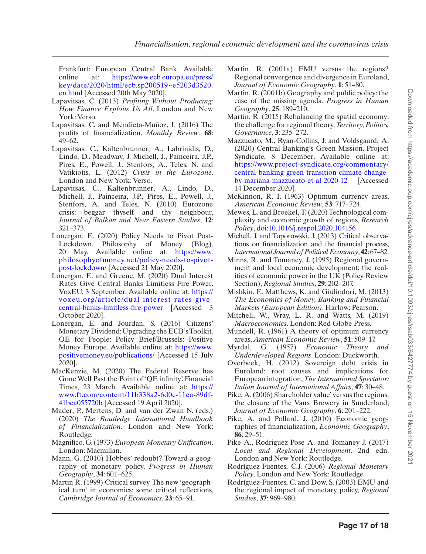Frankfurt: European Central Bank. Available online at: [https://www.ecb.europa.eu/press/](https://www.ecb.europa.eu/press/key/date/2020/html/ecb.sp200519~e5203d3520.en.html) [key/date/2020/html/ecb.sp200519~e5203d3520.](https://www.ecb.europa.eu/press/key/date/2020/html/ecb.sp200519~e5203d3520.en.html) [en.html](https://www.ecb.europa.eu/press/key/date/2020/html/ecb.sp200519~e5203d3520.en.html) [Accessed 20th May 2020].

- Lapavitsas, C. (2013) *Profiting Without Producing: How Finance Exploits Us All*. London and New York: Verso.
- <span id="page-16-17"></span>Lapavitsas, C. and Mendieta-Muñoz, I. (2016) The profits of financialization, *Monthly Review*, **68**: 49–62.
- <span id="page-16-1"></span>Lapavitsas, C., Kaltenbrunner, A., Labrinidis, D., Lindo, D., Meadway, J. Michell, J., Painceira, J.P., Pires, E., Powell, J., Stenfors, A., Teles, N. and Vatikiotis, L. (2012) *Crisis in the Eurozone*. London and New York: Verso.
- <span id="page-16-14"></span>Lapavitsas, C., Kaltenbrunner, A., Lindo, D., Michell, J., Painceira, J.P., Pires, E., Powell, J., Stenfors, A. and Teles, N. (2010) Eurozone crisis: beggar thyself and thy neighbour, *Journal of Balkan and Near Eastern Studies*, **12**: 321–373.
- <span id="page-16-25"></span>Lonergan, E. (2020) Policy Needs to Pivot Post-Lockdown. Philosophy of Money (Blog), 20 May. Available online at: [https://www.](https://www.philosophyofmoney.net/policy-needs-to-pivot-post-lockdown/) [philosophyofmoney.net/policy-needs-to-pivot](https://www.philosophyofmoney.net/policy-needs-to-pivot-post-lockdown/)[post-lockdown/](https://www.philosophyofmoney.net/policy-needs-to-pivot-post-lockdown/) [Accessed 21 May 2020].
- <span id="page-16-26"></span>Lonergan, E. and Greene, M. (2020) Dual Interest Rates Give Central Banks Limitless Fire Power. VoxEU, 3 September. Available online at: [https://](https://voxeu.org/article/dual-interest-rates-give-central-banks-limitless-fire-power) [voxeu.org/article/dual-interest-rates-give](https://voxeu.org/article/dual-interest-rates-give-central-banks-limitless-fire-power)[central-banks-limitless-fire-power](https://voxeu.org/article/dual-interest-rates-give-central-banks-limitless-fire-power) [Accessed 3 October 2020].
- <span id="page-16-24"></span>Lonergan, E. and Jourdan, S. (2016) Citizens' Monetary Dividend: Upgrading the ECB's Toolkit. QE for People: Policy Brief/Brussels: Positive Money Europe. Available online at: [https://www.](https://www.positivemoney.eu/publications/) [positivemoney.eu/publications/](https://www.positivemoney.eu/publications/) [Accessed 15 July 2020].
- <span id="page-16-20"></span>MacKenzie, M. (2020) The Federal Reserve has Gone Well Past the Point of 'QE infinity'. Financial Times, 23 March. Available online at: [https://](https://www.ft.com/content/11b338a2-6d0c-11ea-89df-41bea055720b) [www.ft.com/content/11b338a2-6d0c-11ea-89df-](https://www.ft.com/content/11b338a2-6d0c-11ea-89df-41bea055720b)[41bea055720b](https://www.ft.com/content/11b338a2-6d0c-11ea-89df-41bea055720b) [Accessed 19 April 2020].
- <span id="page-16-13"></span>Mader, P., Mertens, D. and van der Zwan N. (eds.) (2020) *The Routledge International Handbook of Financialization*. London and New York: Routledge.
- <span id="page-16-11"></span>Magnifico, G. (1973) *European Monetary Unification*. London: Macmillan.
- <span id="page-16-18"></span>Mann, G. (2010) Hobbes' redoubt? Toward a geography of monetary policy, *Progress in Human Geography*, **34**: 601–625.
- <span id="page-16-7"></span>Martin R. (1999) Critical survey. The new 'geographical turn' in economics: some critical reflections, *Cambridge Journal of Economics*, **23**: 65–91.
- <span id="page-16-4"></span>Martin, R. (2001a) EMU versus the regions? Regional convergence and divergence in Euroland, *Journal of Economic Geography*, **1**: 51–80.
- <span id="page-16-27"></span>Martin, R. (2001b) Geography and public policy: the case of the missing agenda, *Progress in Human Geography*, **25**: 189–210.
- <span id="page-16-0"></span>Martin, R. (2015) Rebalancing the spatial economy: the challenge for regional theory, *Territory, Politics, Governance*, **3**: 235–272.
- <span id="page-16-22"></span>Mazzucato, M., Ryan-Collins, J. and Voldsgaard, A. (2020) Central Banking's Green Mission. Project Syndicate, 8 December. Available online at: [https://www.project-syndicate.org/commentary/](https://www.project-syndicate.org/commentary/central-banking-green-transition-climate-change-by-mariana-mazzucato-et-al-2020-12) [central-banking-green-transition-climate-change](https://www.project-syndicate.org/commentary/central-banking-green-transition-climate-change-by-mariana-mazzucato-et-al-2020-12)[by-mariana-mazzucato-et-al-2020-12](https://www.project-syndicate.org/commentary/central-banking-green-transition-climate-change-by-mariana-mazzucato-et-al-2020-12) [Accessed 14 December 2020].
- <span id="page-16-12"></span>McKinnon, R. I. (1963) Optimum currency areas, *American Economic Review*, **53**: 717–724.
- <span id="page-16-9"></span>Mewes, L. and Broekel, T. (2020) Technological complexity and economic growth of regions, *Research Policy*, doi:[10.1016/j.respol.2020.104156](https://doi.org/10.1016/j.respol.2020.104156)
- Michell, J. and Toporowski, J. (2013) Critical observations on financialization and the financial process, *International Journal of Political Economy*, **42**: 67–82.
- <span id="page-16-5"></span>Minns, R. and Tomaney, J. (1995) Regional government and local economic development: the realities of economic power in the UK (Policy Review Section), *Regional Studies*, **29**: 202–207.
- <span id="page-16-19"></span>Mishkin, F., Matthews, K. and Giuliodori, M. (2013) *The Economics of Money, Banking and Financial Markets (European Edition)*. Harlow: Pearson.
- <span id="page-16-23"></span>Mitchell, W., Wray, L. R. and Watts, M. (2019) *Macroeconomics*. London: Red Globe Press.
- <span id="page-16-10"></span>Mundell, R. (1961) A theory of optimum currency areas, *American Economic Review*, **51**: 509–17.
- <span id="page-16-8"></span>Myrdal, G. (1957) *Economic Theory and Underdeveloped Regions*. London: Duckworth.
- <span id="page-16-21"></span>Overbeek, H. (2012) Sovereign debt crisis in Euroland: root causes and implications for European integration, *The International Spectator: Italian Journal of International Affairs*, **47**: 30–48.
- <span id="page-16-2"></span>Pike, A. (2006) Shareholder value' versus the regions: the closure of the Vaux Brewery in Sunderland, *Journal of Economic Geography*, **6**: 201–222.
- <span id="page-16-3"></span>Pike, A. and Pollard, J. (2010) Economic geographies of financialization, *Economic Geography*, **86**: 29–51.
- <span id="page-16-6"></span>Pike A., Rodriguez-Pose A. and Tomaney J. (2017) *Local and Regional Development*. 2nd edn. London and New York: Routledge.
- <span id="page-16-16"></span>Rodríguez-Fuentes, C.J. (2006) *Regional Monetary Policy*. London and New York: Routledge.
- <span id="page-16-15"></span>Rodríguez-Fuentes, C. and Dow, S. (2003) EMU and the regional impact of monetary policy, *Regional Studies*, **37**: 969–980.